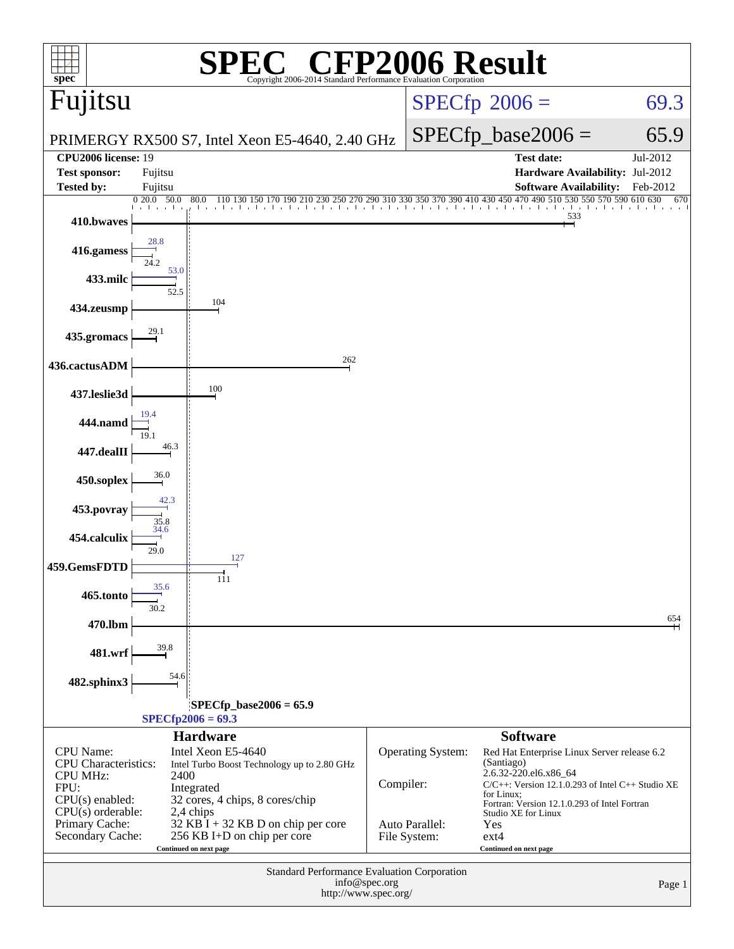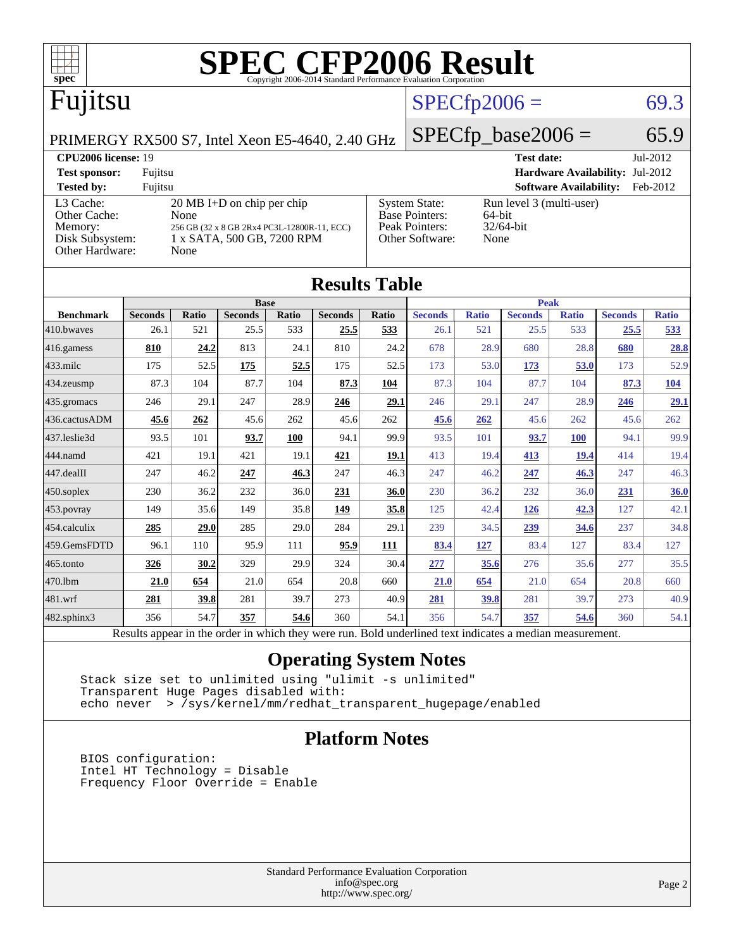

Results appear in the [order in which they were run.](http://www.spec.org/auto/cpu2006/Docs/result-fields.html#RunOrder) Bold underlined text [indicates a median measurement.](http://www.spec.org/auto/cpu2006/Docs/result-fields.html#Median)

### **[Operating System Notes](http://www.spec.org/auto/cpu2006/Docs/result-fields.html#OperatingSystemNotes)**

[444.namd](http://www.spec.org/auto/cpu2006/Docs/444.namd.html) 421 19.1 421 19.1 **[421](http://www.spec.org/auto/cpu2006/Docs/result-fields.html#Median) [19.1](http://www.spec.org/auto/cpu2006/Docs/result-fields.html#Median)** 413 19.4 **[413](http://www.spec.org/auto/cpu2006/Docs/result-fields.html#Median) [19.4](http://www.spec.org/auto/cpu2006/Docs/result-fields.html#Median)** 414 19.4 [447.dealII](http://www.spec.org/auto/cpu2006/Docs/447.dealII.html) 247 46.2 **[247](http://www.spec.org/auto/cpu2006/Docs/result-fields.html#Median) [46.3](http://www.spec.org/auto/cpu2006/Docs/result-fields.html#Median)** 247 46.3 247 46.2 **[247](http://www.spec.org/auto/cpu2006/Docs/result-fields.html#Median) [46.3](http://www.spec.org/auto/cpu2006/Docs/result-fields.html#Median)** 247 46.3 [450.soplex](http://www.spec.org/auto/cpu2006/Docs/450.soplex.html) 230 36.2 232 36.0 **[231](http://www.spec.org/auto/cpu2006/Docs/result-fields.html#Median) [36.0](http://www.spec.org/auto/cpu2006/Docs/result-fields.html#Median)** 230 36.2 232 36.0 **[231](http://www.spec.org/auto/cpu2006/Docs/result-fields.html#Median) [36.0](http://www.spec.org/auto/cpu2006/Docs/result-fields.html#Median)** [453.povray](http://www.spec.org/auto/cpu2006/Docs/453.povray.html) 149 35.6 149 35.8 **[149](http://www.spec.org/auto/cpu2006/Docs/result-fields.html#Median) [35.8](http://www.spec.org/auto/cpu2006/Docs/result-fields.html#Median)** 125 42.4 **[126](http://www.spec.org/auto/cpu2006/Docs/result-fields.html#Median) [42.3](http://www.spec.org/auto/cpu2006/Docs/result-fields.html#Median)** 127 42.1 [454.calculix](http://www.spec.org/auto/cpu2006/Docs/454.calculix.html) **[285](http://www.spec.org/auto/cpu2006/Docs/result-fields.html#Median) [29.0](http://www.spec.org/auto/cpu2006/Docs/result-fields.html#Median)** 285 29.0 284 29.1 239 34.5 **[239](http://www.spec.org/auto/cpu2006/Docs/result-fields.html#Median) [34.6](http://www.spec.org/auto/cpu2006/Docs/result-fields.html#Median)** 237 34.8 [459.GemsFDTD](http://www.spec.org/auto/cpu2006/Docs/459.GemsFDTD.html) 96.1 110 95.9 111 **[95.9](http://www.spec.org/auto/cpu2006/Docs/result-fields.html#Median) [111](http://www.spec.org/auto/cpu2006/Docs/result-fields.html#Median) [83.4](http://www.spec.org/auto/cpu2006/Docs/result-fields.html#Median) [127](http://www.spec.org/auto/cpu2006/Docs/result-fields.html#Median)** 83.4 127 83.4 127 [465.tonto](http://www.spec.org/auto/cpu2006/Docs/465.tonto.html) **[326](http://www.spec.org/auto/cpu2006/Docs/result-fields.html#Median) [30.2](http://www.spec.org/auto/cpu2006/Docs/result-fields.html#Median)** 329 29.9 324 30.4 **[277](http://www.spec.org/auto/cpu2006/Docs/result-fields.html#Median) [35.6](http://www.spec.org/auto/cpu2006/Docs/result-fields.html#Median)** 276 35.6 277 35.5 [470.lbm](http://www.spec.org/auto/cpu2006/Docs/470.lbm.html) **[21.0](http://www.spec.org/auto/cpu2006/Docs/result-fields.html#Median) [654](http://www.spec.org/auto/cpu2006/Docs/result-fields.html#Median)** 21.0 654 20.8 660 **[21.0](http://www.spec.org/auto/cpu2006/Docs/result-fields.html#Median) [654](http://www.spec.org/auto/cpu2006/Docs/result-fields.html#Median)** 21.0 654 20.8 660 [481.wrf](http://www.spec.org/auto/cpu2006/Docs/481.wrf.html) **[281](http://www.spec.org/auto/cpu2006/Docs/result-fields.html#Median) [39.8](http://www.spec.org/auto/cpu2006/Docs/result-fields.html#Median)** 281 39.7 273 40.9 **[281](http://www.spec.org/auto/cpu2006/Docs/result-fields.html#Median) [39.8](http://www.spec.org/auto/cpu2006/Docs/result-fields.html#Median)** 281 39.7 273 40.9 [482.sphinx3](http://www.spec.org/auto/cpu2006/Docs/482.sphinx3.html) 356 54.7 **[357](http://www.spec.org/auto/cpu2006/Docs/result-fields.html#Median) [54.6](http://www.spec.org/auto/cpu2006/Docs/result-fields.html#Median)** 360 54.1 356 54.7 **[357](http://www.spec.org/auto/cpu2006/Docs/result-fields.html#Median) [54.6](http://www.spec.org/auto/cpu2006/Docs/result-fields.html#Median)** 360 54.1

 Stack size set to unlimited using "ulimit -s unlimited" Transparent Huge Pages disabled with: echo never > /sys/kernel/mm/redhat\_transparent\_hugepage/enabled

### **[Platform Notes](http://www.spec.org/auto/cpu2006/Docs/result-fields.html#PlatformNotes)**

 BIOS configuration: Intel HT Technology = Disable Frequency Floor Override = Enable

> Standard Performance Evaluation Corporation [info@spec.org](mailto:info@spec.org) <http://www.spec.org/>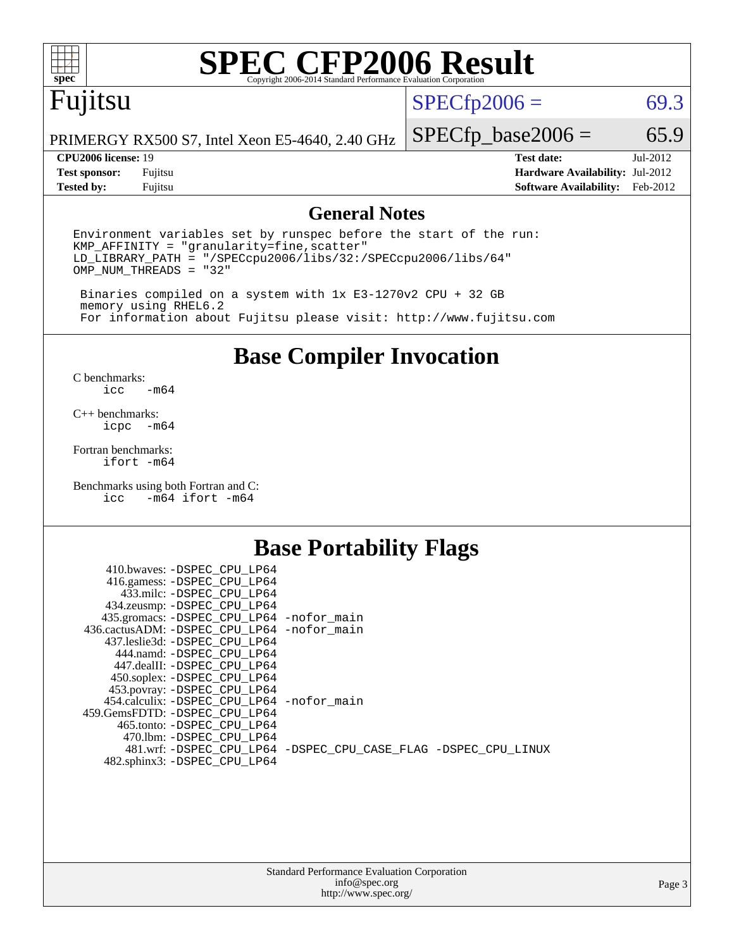

# **[SPEC CFP2006 Result](http://www.spec.org/auto/cpu2006/Docs/result-fields.html#SPECCFP2006Result)**

# Fujitsu

 $SPECfp2006 = 69.3$  $SPECfp2006 = 69.3$ 

PRIMERGY RX500 S7, Intel Xeon E5-4640, 2.40 GHz

**[Test sponsor:](http://www.spec.org/auto/cpu2006/Docs/result-fields.html#Testsponsor)** Fujitsu **[Hardware Availability:](http://www.spec.org/auto/cpu2006/Docs/result-fields.html#HardwareAvailability)** Jul-2012 **[Tested by:](http://www.spec.org/auto/cpu2006/Docs/result-fields.html#Testedby)** Fujitsu **[Software Availability:](http://www.spec.org/auto/cpu2006/Docs/result-fields.html#SoftwareAvailability)** Feb-2012

 $SPECfp\_base2006 = 65.9$ **[CPU2006 license:](http://www.spec.org/auto/cpu2006/Docs/result-fields.html#CPU2006license)** 19 **[Test date:](http://www.spec.org/auto/cpu2006/Docs/result-fields.html#Testdate)** Jul-2012

### **[General Notes](http://www.spec.org/auto/cpu2006/Docs/result-fields.html#GeneralNotes)**

Environment variables set by runspec before the start of the run: KMP\_AFFINITY = "granularity=fine,scatter" LD\_LIBRARY\_PATH = "/SPECcpu2006/libs/32:/SPECcpu2006/libs/64" OMP\_NUM\_THREADS = "32"

 Binaries compiled on a system with 1x E3-1270v2 CPU + 32 GB memory using RHEL6.2 For information about Fujitsu please visit: <http://www.fujitsu.com>

**[Base Compiler Invocation](http://www.spec.org/auto/cpu2006/Docs/result-fields.html#BaseCompilerInvocation)**

 $C$  benchmarks:<br>icc  $-m64$ 

[C++ benchmarks:](http://www.spec.org/auto/cpu2006/Docs/result-fields.html#CXXbenchmarks) [icpc -m64](http://www.spec.org/cpu2006/results/res2012q3/cpu2006-20120730-23897.flags.html#user_CXXbase_intel_icpc_64bit_bedb90c1146cab66620883ef4f41a67e)

[Fortran benchmarks](http://www.spec.org/auto/cpu2006/Docs/result-fields.html#Fortranbenchmarks): [ifort -m64](http://www.spec.org/cpu2006/results/res2012q3/cpu2006-20120730-23897.flags.html#user_FCbase_intel_ifort_64bit_ee9d0fb25645d0210d97eb0527dcc06e)

[Benchmarks using both Fortran and C](http://www.spec.org/auto/cpu2006/Docs/result-fields.html#BenchmarksusingbothFortranandC): [icc -m64](http://www.spec.org/cpu2006/results/res2012q3/cpu2006-20120730-23897.flags.html#user_CC_FCbase_intel_icc_64bit_0b7121f5ab7cfabee23d88897260401c) [ifort -m64](http://www.spec.org/cpu2006/results/res2012q3/cpu2006-20120730-23897.flags.html#user_CC_FCbase_intel_ifort_64bit_ee9d0fb25645d0210d97eb0527dcc06e)

### **[Base Portability Flags](http://www.spec.org/auto/cpu2006/Docs/result-fields.html#BasePortabilityFlags)**

| 410.bwaves: -DSPEC CPU LP64                |                                                                |
|--------------------------------------------|----------------------------------------------------------------|
| 416.gamess: -DSPEC_CPU_LP64                |                                                                |
| 433.milc: -DSPEC CPU LP64                  |                                                                |
| 434.zeusmp: -DSPEC_CPU_LP64                |                                                                |
| 435.gromacs: -DSPEC_CPU_LP64 -nofor_main   |                                                                |
| 436.cactusADM: -DSPEC CPU LP64 -nofor main |                                                                |
| 437.leslie3d: -DSPEC CPU LP64              |                                                                |
| 444.namd: -DSPEC CPU LP64                  |                                                                |
| 447.dealII: -DSPEC CPU LP64                |                                                                |
| 450.soplex: -DSPEC_CPU_LP64                |                                                                |
| 453.povray: -DSPEC_CPU_LP64                |                                                                |
| 454.calculix: -DSPEC CPU LP64 -nofor main  |                                                                |
| 459.GemsFDTD: -DSPEC_CPU LP64              |                                                                |
| 465.tonto: - DSPEC CPU LP64                |                                                                |
| 470.1bm: - DSPEC CPU LP64                  |                                                                |
|                                            | 481.wrf: -DSPEC CPU_LP64 -DSPEC_CPU_CASE_FLAG -DSPEC_CPU_LINUX |
| 482.sphinx3: -DSPEC_CPU_LP64               |                                                                |
|                                            |                                                                |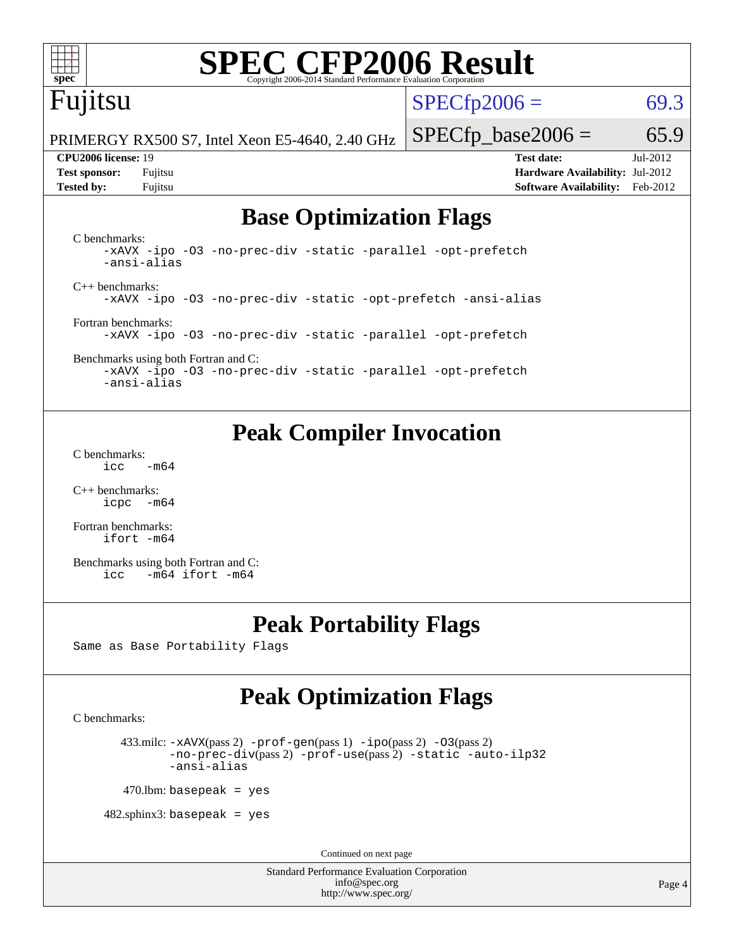

# **[SPEC CFP2006 Result](http://www.spec.org/auto/cpu2006/Docs/result-fields.html#SPECCFP2006Result)**

# Fujitsu

 $SPECTp2006 = 69.3$ 

PRIMERGY RX500 S7, Intel Xeon E5-4640, 2.40 GHz

 $SPECTp\_base2006 = 65.9$ **[CPU2006 license:](http://www.spec.org/auto/cpu2006/Docs/result-fields.html#CPU2006license)** 19 **[Test date:](http://www.spec.org/auto/cpu2006/Docs/result-fields.html#Testdate)** Jul-2012

**[Test sponsor:](http://www.spec.org/auto/cpu2006/Docs/result-fields.html#Testsponsor)** Fujitsu **[Hardware Availability:](http://www.spec.org/auto/cpu2006/Docs/result-fields.html#HardwareAvailability)** Jul-2012 **[Tested by:](http://www.spec.org/auto/cpu2006/Docs/result-fields.html#Testedby)** Fujitsu **[Software Availability:](http://www.spec.org/auto/cpu2006/Docs/result-fields.html#SoftwareAvailability)** Feb-2012

## **[Base Optimization Flags](http://www.spec.org/auto/cpu2006/Docs/result-fields.html#BaseOptimizationFlags)**

[C benchmarks](http://www.spec.org/auto/cpu2006/Docs/result-fields.html#Cbenchmarks): [-xAVX](http://www.spec.org/cpu2006/results/res2012q3/cpu2006-20120730-23897.flags.html#user_CCbase_f-xAVX) [-ipo](http://www.spec.org/cpu2006/results/res2012q3/cpu2006-20120730-23897.flags.html#user_CCbase_f-ipo) [-O3](http://www.spec.org/cpu2006/results/res2012q3/cpu2006-20120730-23897.flags.html#user_CCbase_f-O3) [-no-prec-div](http://www.spec.org/cpu2006/results/res2012q3/cpu2006-20120730-23897.flags.html#user_CCbase_f-no-prec-div) [-static](http://www.spec.org/cpu2006/results/res2012q3/cpu2006-20120730-23897.flags.html#user_CCbase_f-static) [-parallel](http://www.spec.org/cpu2006/results/res2012q3/cpu2006-20120730-23897.flags.html#user_CCbase_f-parallel) [-opt-prefetch](http://www.spec.org/cpu2006/results/res2012q3/cpu2006-20120730-23897.flags.html#user_CCbase_f-opt-prefetch) [-ansi-alias](http://www.spec.org/cpu2006/results/res2012q3/cpu2006-20120730-23897.flags.html#user_CCbase_f-ansi-alias) [C++ benchmarks:](http://www.spec.org/auto/cpu2006/Docs/result-fields.html#CXXbenchmarks) [-xAVX](http://www.spec.org/cpu2006/results/res2012q3/cpu2006-20120730-23897.flags.html#user_CXXbase_f-xAVX) [-ipo](http://www.spec.org/cpu2006/results/res2012q3/cpu2006-20120730-23897.flags.html#user_CXXbase_f-ipo) [-O3](http://www.spec.org/cpu2006/results/res2012q3/cpu2006-20120730-23897.flags.html#user_CXXbase_f-O3) [-no-prec-div](http://www.spec.org/cpu2006/results/res2012q3/cpu2006-20120730-23897.flags.html#user_CXXbase_f-no-prec-div) [-static](http://www.spec.org/cpu2006/results/res2012q3/cpu2006-20120730-23897.flags.html#user_CXXbase_f-static) [-opt-prefetch](http://www.spec.org/cpu2006/results/res2012q3/cpu2006-20120730-23897.flags.html#user_CXXbase_f-opt-prefetch) [-ansi-alias](http://www.spec.org/cpu2006/results/res2012q3/cpu2006-20120730-23897.flags.html#user_CXXbase_f-ansi-alias) [Fortran benchmarks](http://www.spec.org/auto/cpu2006/Docs/result-fields.html#Fortranbenchmarks): [-xAVX](http://www.spec.org/cpu2006/results/res2012q3/cpu2006-20120730-23897.flags.html#user_FCbase_f-xAVX) [-ipo](http://www.spec.org/cpu2006/results/res2012q3/cpu2006-20120730-23897.flags.html#user_FCbase_f-ipo) [-O3](http://www.spec.org/cpu2006/results/res2012q3/cpu2006-20120730-23897.flags.html#user_FCbase_f-O3) [-no-prec-div](http://www.spec.org/cpu2006/results/res2012q3/cpu2006-20120730-23897.flags.html#user_FCbase_f-no-prec-div) [-static](http://www.spec.org/cpu2006/results/res2012q3/cpu2006-20120730-23897.flags.html#user_FCbase_f-static) [-parallel](http://www.spec.org/cpu2006/results/res2012q3/cpu2006-20120730-23897.flags.html#user_FCbase_f-parallel) [-opt-prefetch](http://www.spec.org/cpu2006/results/res2012q3/cpu2006-20120730-23897.flags.html#user_FCbase_f-opt-prefetch)

[Benchmarks using both Fortran and C](http://www.spec.org/auto/cpu2006/Docs/result-fields.html#BenchmarksusingbothFortranandC): [-xAVX](http://www.spec.org/cpu2006/results/res2012q3/cpu2006-20120730-23897.flags.html#user_CC_FCbase_f-xAVX) [-ipo](http://www.spec.org/cpu2006/results/res2012q3/cpu2006-20120730-23897.flags.html#user_CC_FCbase_f-ipo) [-O3](http://www.spec.org/cpu2006/results/res2012q3/cpu2006-20120730-23897.flags.html#user_CC_FCbase_f-O3) [-no-prec-div](http://www.spec.org/cpu2006/results/res2012q3/cpu2006-20120730-23897.flags.html#user_CC_FCbase_f-no-prec-div) [-static](http://www.spec.org/cpu2006/results/res2012q3/cpu2006-20120730-23897.flags.html#user_CC_FCbase_f-static) [-parallel](http://www.spec.org/cpu2006/results/res2012q3/cpu2006-20120730-23897.flags.html#user_CC_FCbase_f-parallel) [-opt-prefetch](http://www.spec.org/cpu2006/results/res2012q3/cpu2006-20120730-23897.flags.html#user_CC_FCbase_f-opt-prefetch) [-ansi-alias](http://www.spec.org/cpu2006/results/res2012q3/cpu2006-20120730-23897.flags.html#user_CC_FCbase_f-ansi-alias)

## **[Peak Compiler Invocation](http://www.spec.org/auto/cpu2006/Docs/result-fields.html#PeakCompilerInvocation)**

[C benchmarks](http://www.spec.org/auto/cpu2006/Docs/result-fields.html#Cbenchmarks):  $\text{icc}$  -m64

[C++ benchmarks:](http://www.spec.org/auto/cpu2006/Docs/result-fields.html#CXXbenchmarks) [icpc -m64](http://www.spec.org/cpu2006/results/res2012q3/cpu2006-20120730-23897.flags.html#user_CXXpeak_intel_icpc_64bit_bedb90c1146cab66620883ef4f41a67e)

[Fortran benchmarks](http://www.spec.org/auto/cpu2006/Docs/result-fields.html#Fortranbenchmarks): [ifort -m64](http://www.spec.org/cpu2006/results/res2012q3/cpu2006-20120730-23897.flags.html#user_FCpeak_intel_ifort_64bit_ee9d0fb25645d0210d97eb0527dcc06e)

[Benchmarks using both Fortran and C](http://www.spec.org/auto/cpu2006/Docs/result-fields.html#BenchmarksusingbothFortranandC): [icc -m64](http://www.spec.org/cpu2006/results/res2012q3/cpu2006-20120730-23897.flags.html#user_CC_FCpeak_intel_icc_64bit_0b7121f5ab7cfabee23d88897260401c) [ifort -m64](http://www.spec.org/cpu2006/results/res2012q3/cpu2006-20120730-23897.flags.html#user_CC_FCpeak_intel_ifort_64bit_ee9d0fb25645d0210d97eb0527dcc06e)

# **[Peak Portability Flags](http://www.spec.org/auto/cpu2006/Docs/result-fields.html#PeakPortabilityFlags)**

Same as Base Portability Flags

# **[Peak Optimization Flags](http://www.spec.org/auto/cpu2006/Docs/result-fields.html#PeakOptimizationFlags)**

[C benchmarks](http://www.spec.org/auto/cpu2006/Docs/result-fields.html#Cbenchmarks):

433.milc:  $-x$ AVX(pass 2)  $-p$ rof-gen(pass 1)  $-p$ po(pass 2)  $-03$ (pass 2) [-no-prec-div](http://www.spec.org/cpu2006/results/res2012q3/cpu2006-20120730-23897.flags.html#user_peakPASS2_CFLAGSPASS2_LDFLAGS433_milc_f-no-prec-div)(pass 2) [-prof-use](http://www.spec.org/cpu2006/results/res2012q3/cpu2006-20120730-23897.flags.html#user_peakPASS2_CFLAGSPASS2_LDFLAGS433_milc_prof_use_bccf7792157ff70d64e32fe3e1250b55)(pass 2) [-static](http://www.spec.org/cpu2006/results/res2012q3/cpu2006-20120730-23897.flags.html#user_peakOPTIMIZE433_milc_f-static) [-auto-ilp32](http://www.spec.org/cpu2006/results/res2012q3/cpu2006-20120730-23897.flags.html#user_peakCOPTIMIZE433_milc_f-auto-ilp32) [-ansi-alias](http://www.spec.org/cpu2006/results/res2012q3/cpu2006-20120730-23897.flags.html#user_peakCOPTIMIZE433_milc_f-ansi-alias)

 $470$ .lbm: basepeak = yes

 $482$ .sphinx3: basepeak = yes

Continued on next page

Standard Performance Evaluation Corporation [info@spec.org](mailto:info@spec.org) <http://www.spec.org/>

Page 4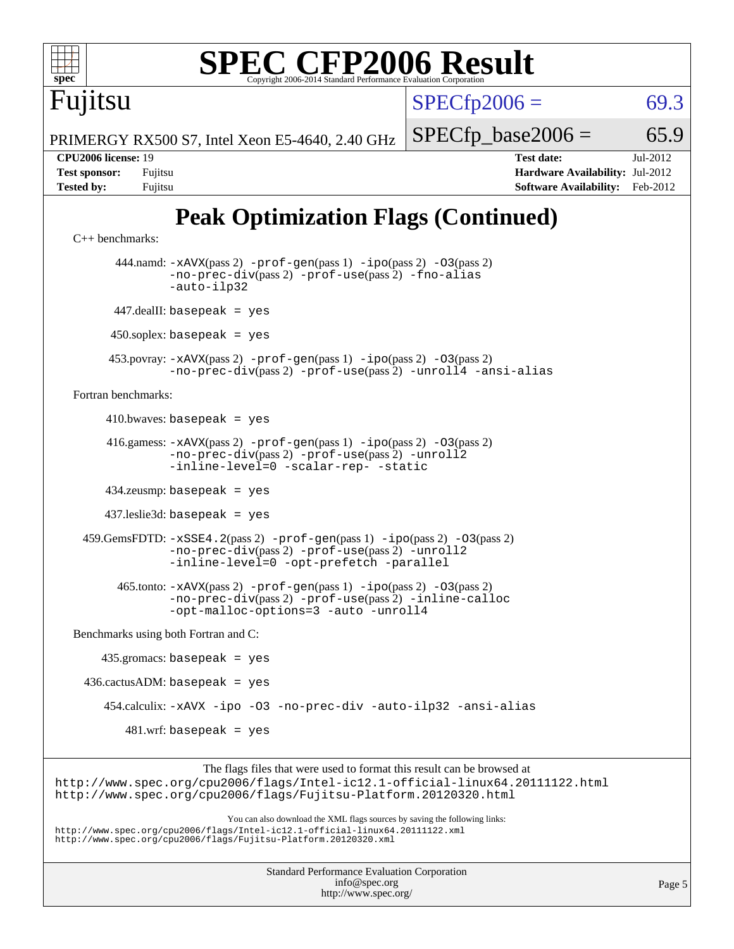

434.zeusmp: basepeak = yes

437.leslie3d: basepeak = yes

 459.GemsFDTD: [-xSSE4.2](http://www.spec.org/cpu2006/results/res2012q3/cpu2006-20120730-23897.flags.html#user_peakPASS2_FFLAGSPASS2_LDFLAGS459_GemsFDTD_f-xSSE42_f91528193cf0b216347adb8b939d4107)(pass 2) [-prof-gen](http://www.spec.org/cpu2006/results/res2012q3/cpu2006-20120730-23897.flags.html#user_peakPASS1_FFLAGSPASS1_LDFLAGS459_GemsFDTD_prof_gen_e43856698f6ca7b7e442dfd80e94a8fc)(pass 1) [-ipo](http://www.spec.org/cpu2006/results/res2012q3/cpu2006-20120730-23897.flags.html#user_peakPASS2_FFLAGSPASS2_LDFLAGS459_GemsFDTD_f-ipo)(pass 2) [-O3](http://www.spec.org/cpu2006/results/res2012q3/cpu2006-20120730-23897.flags.html#user_peakPASS2_FFLAGSPASS2_LDFLAGS459_GemsFDTD_f-O3)(pass 2) [-no-prec-div](http://www.spec.org/cpu2006/results/res2012q3/cpu2006-20120730-23897.flags.html#user_peakPASS2_FFLAGSPASS2_LDFLAGS459_GemsFDTD_f-no-prec-div)(pass 2) [-prof-use](http://www.spec.org/cpu2006/results/res2012q3/cpu2006-20120730-23897.flags.html#user_peakPASS2_FFLAGSPASS2_LDFLAGS459_GemsFDTD_prof_use_bccf7792157ff70d64e32fe3e1250b55)(pass 2) [-unroll2](http://www.spec.org/cpu2006/results/res2012q3/cpu2006-20120730-23897.flags.html#user_peakOPTIMIZE459_GemsFDTD_f-unroll_784dae83bebfb236979b41d2422d7ec2) [-inline-level=0](http://www.spec.org/cpu2006/results/res2012q3/cpu2006-20120730-23897.flags.html#user_peakOPTIMIZE459_GemsFDTD_f-inline-level_318d07a09274ad25e8d15dbfaa68ba50) [-opt-prefetch](http://www.spec.org/cpu2006/results/res2012q3/cpu2006-20120730-23897.flags.html#user_peakOPTIMIZE459_GemsFDTD_f-opt-prefetch) [-parallel](http://www.spec.org/cpu2006/results/res2012q3/cpu2006-20120730-23897.flags.html#user_peakOPTIMIZE459_GemsFDTD_f-parallel)

 465.tonto: [-xAVX](http://www.spec.org/cpu2006/results/res2012q3/cpu2006-20120730-23897.flags.html#user_peakPASS2_FFLAGSPASS2_LDFLAGS465_tonto_f-xAVX)(pass 2) [-prof-gen](http://www.spec.org/cpu2006/results/res2012q3/cpu2006-20120730-23897.flags.html#user_peakPASS1_FFLAGSPASS1_LDFLAGS465_tonto_prof_gen_e43856698f6ca7b7e442dfd80e94a8fc)(pass 1) [-ipo](http://www.spec.org/cpu2006/results/res2012q3/cpu2006-20120730-23897.flags.html#user_peakPASS2_FFLAGSPASS2_LDFLAGS465_tonto_f-ipo)(pass 2) [-O3](http://www.spec.org/cpu2006/results/res2012q3/cpu2006-20120730-23897.flags.html#user_peakPASS2_FFLAGSPASS2_LDFLAGS465_tonto_f-O3)(pass 2) [-no-prec-div](http://www.spec.org/cpu2006/results/res2012q3/cpu2006-20120730-23897.flags.html#user_peakPASS2_FFLAGSPASS2_LDFLAGS465_tonto_f-no-prec-div)(pass 2) [-prof-use](http://www.spec.org/cpu2006/results/res2012q3/cpu2006-20120730-23897.flags.html#user_peakPASS2_FFLAGSPASS2_LDFLAGS465_tonto_prof_use_bccf7792157ff70d64e32fe3e1250b55)(pass 2) [-inline-calloc](http://www.spec.org/cpu2006/results/res2012q3/cpu2006-20120730-23897.flags.html#user_peakOPTIMIZE465_tonto_f-inline-calloc) [-opt-malloc-options=3](http://www.spec.org/cpu2006/results/res2012q3/cpu2006-20120730-23897.flags.html#user_peakOPTIMIZE465_tonto_f-opt-malloc-options_13ab9b803cf986b4ee62f0a5998c2238) [-auto](http://www.spec.org/cpu2006/results/res2012q3/cpu2006-20120730-23897.flags.html#user_peakOPTIMIZE465_tonto_f-auto) [-unroll4](http://www.spec.org/cpu2006/results/res2012q3/cpu2006-20120730-23897.flags.html#user_peakOPTIMIZE465_tonto_f-unroll_4e5e4ed65b7fd20bdcd365bec371b81f)

[Benchmarks using both Fortran and C](http://www.spec.org/auto/cpu2006/Docs/result-fields.html#BenchmarksusingbothFortranandC):

 435.gromacs: basepeak = yes  $436.cactusADM: basepeak = yes$  454.calculix: [-xAVX](http://www.spec.org/cpu2006/results/res2012q3/cpu2006-20120730-23897.flags.html#user_peakOPTIMIZE454_calculix_f-xAVX) [-ipo](http://www.spec.org/cpu2006/results/res2012q3/cpu2006-20120730-23897.flags.html#user_peakOPTIMIZE454_calculix_f-ipo) [-O3](http://www.spec.org/cpu2006/results/res2012q3/cpu2006-20120730-23897.flags.html#user_peakOPTIMIZE454_calculix_f-O3) [-no-prec-div](http://www.spec.org/cpu2006/results/res2012q3/cpu2006-20120730-23897.flags.html#user_peakOPTIMIZE454_calculix_f-no-prec-div) [-auto-ilp32](http://www.spec.org/cpu2006/results/res2012q3/cpu2006-20120730-23897.flags.html#user_peakCOPTIMIZE454_calculix_f-auto-ilp32) [-ansi-alias](http://www.spec.org/cpu2006/results/res2012q3/cpu2006-20120730-23897.flags.html#user_peakCOPTIMIZE454_calculix_f-ansi-alias)  $481.wrf:$  basepeak = yes

The flags files that were used to format this result can be browsed at <http://www.spec.org/cpu2006/flags/Intel-ic12.1-official-linux64.20111122.html> <http://www.spec.org/cpu2006/flags/Fujitsu-Platform.20120320.html>

You can also download the XML flags sources by saving the following links: <http://www.spec.org/cpu2006/flags/Intel-ic12.1-official-linux64.20111122.xml> <http://www.spec.org/cpu2006/flags/Fujitsu-Platform.20120320.xml>

> Standard Performance Evaluation Corporation [info@spec.org](mailto:info@spec.org) <http://www.spec.org/>